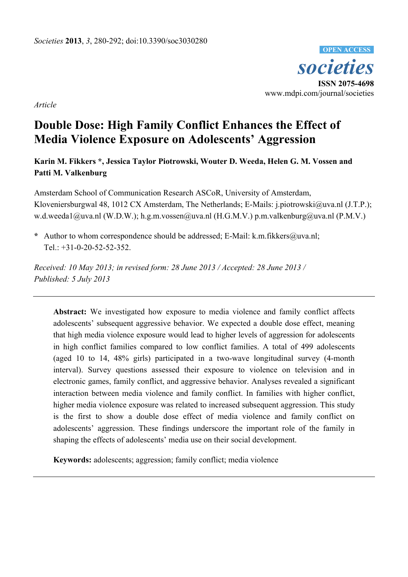*societies* **ISSN 2075-4698**  www.mdpi.com/journal/societies **OPEN ACCESS**

*Article* 

# **Double Dose: High Family Conflict Enhances the Effect of Media Violence Exposure on Adolescents' Aggression**

**Karin M. Fikkers \*, Jessica Taylor Piotrowski, Wouter D. Weeda, Helen G. M. Vossen and Patti M. Valkenburg** 

Amsterdam School of Communication Research ASCoR, University of Amsterdam, Kloveniersburgwal 48, 1012 CX Amsterdam, The Netherlands; E-Mails: j.piotrowski@uva.nl (J.T.P.); w.d.weeda1@uva.nl (W.D.W.); h.g.m.vossen@uva.nl (H.G.M.V.) p.m.valkenburg@uva.nl (P.M.V.)

**\*** Author to whom correspondence should be addressed; E-Mail: k.m.fikkers@uva.nl; Tel.: +31-0-20-52-52-352.

*Received: 10 May 2013; in revised form: 28 June 2013 / Accepted: 28 June 2013 / Published: 5 July 2013* 

**Abstract:** We investigated how exposure to media violence and family conflict affects adolescents' subsequent aggressive behavior. We expected a double dose effect, meaning that high media violence exposure would lead to higher levels of aggression for adolescents in high conflict families compared to low conflict families. A total of 499 adolescents (aged 10 to 14, 48% girls) participated in a two-wave longitudinal survey (4-month interval). Survey questions assessed their exposure to violence on television and in electronic games, family conflict, and aggressive behavior. Analyses revealed a significant interaction between media violence and family conflict. In families with higher conflict, higher media violence exposure was related to increased subsequent aggression. This study is the first to show a double dose effect of media violence and family conflict on adolescents' aggression. These findings underscore the important role of the family in shaping the effects of adolescents' media use on their social development.

**Keywords:** adolescents; aggression; family conflict; media violence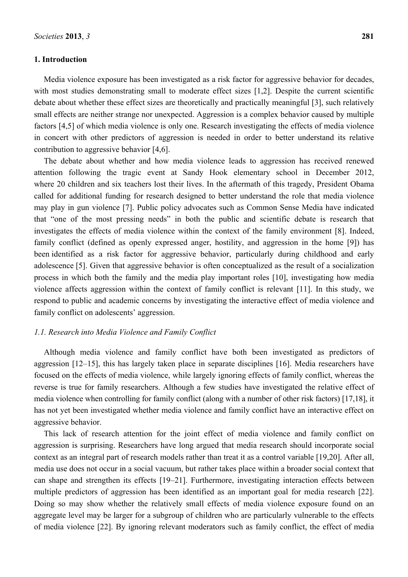# **1. Introduction**

Media violence exposure has been investigated as a risk factor for aggressive behavior for decades, with most studies demonstrating small to moderate effect sizes [1,2]. Despite the current scientific debate about whether these effect sizes are theoretically and practically meaningful [3], such relatively small effects are neither strange nor unexpected. Aggression is a complex behavior caused by multiple factors [4,5] of which media violence is only one. Research investigating the effects of media violence in concert with other predictors of aggression is needed in order to better understand its relative contribution to aggressive behavior [4,6].

The debate about whether and how media violence leads to aggression has received renewed attention following the tragic event at Sandy Hook elementary school in December 2012, where 20 children and six teachers lost their lives. In the aftermath of this tragedy, President Obama called for additional funding for research designed to better understand the role that media violence may play in gun violence [7]. Public policy advocates such as Common Sense Media have indicated that "one of the most pressing needs" in both the public and scientific debate is research that investigates the effects of media violence within the context of the family environment [8]. Indeed, family conflict (defined as openly expressed anger, hostility, and aggression in the home [9]) has been identified as a risk factor for aggressive behavior, particularly during childhood and early adolescence [5]. Given that aggressive behavior is often conceptualized as the result of a socialization process in which both the family and the media play important roles [10], investigating how media violence affects aggression within the context of family conflict is relevant [11]. In this study, we respond to public and academic concerns by investigating the interactive effect of media violence and family conflict on adolescents' aggression.

#### *1.1. Research into Media Violence and Family Conflict*

Although media violence and family conflict have both been investigated as predictors of aggression [12–15], this has largely taken place in separate disciplines [16]. Media researchers have focused on the effects of media violence, while largely ignoring effects of family conflict, whereas the reverse is true for family researchers. Although a few studies have investigated the relative effect of media violence when controlling for family conflict (along with a number of other risk factors) [17,18], it has not yet been investigated whether media violence and family conflict have an interactive effect on aggressive behavior.

This lack of research attention for the joint effect of media violence and family conflict on aggression is surprising. Researchers have long argued that media research should incorporate social context as an integral part of research models rather than treat it as a control variable [19,20]. After all, media use does not occur in a social vacuum, but rather takes place within a broader social context that can shape and strengthen its effects [19–21]. Furthermore, investigating interaction effects between multiple predictors of aggression has been identified as an important goal for media research [22]. Doing so may show whether the relatively small effects of media violence exposure found on an aggregate level may be larger for a subgroup of children who are particularly vulnerable to the effects of media violence [22]. By ignoring relevant moderators such as family conflict, the effect of media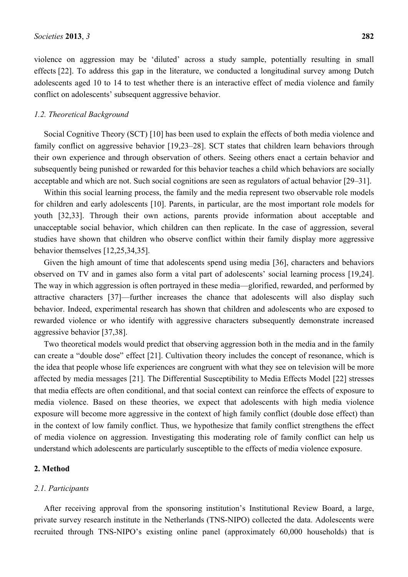violence on aggression may be 'diluted' across a study sample, potentially resulting in small effects [22]. To address this gap in the literature, we conducted a longitudinal survey among Dutch adolescents aged 10 to 14 to test whether there is an interactive effect of media violence and family conflict on adolescents' subsequent aggressive behavior.

## *1.2. Theoretical Background*

Social Cognitive Theory (SCT) [10] has been used to explain the effects of both media violence and family conflict on aggressive behavior [19,23–28]. SCT states that children learn behaviors through their own experience and through observation of others. Seeing others enact a certain behavior and subsequently being punished or rewarded for this behavior teaches a child which behaviors are socially acceptable and which are not. Such social cognitions are seen as regulators of actual behavior [29–31].

Within this social learning process, the family and the media represent two observable role models for children and early adolescents [10]. Parents, in particular, are the most important role models for youth [32,33]. Through their own actions, parents provide information about acceptable and unacceptable social behavior, which children can then replicate. In the case of aggression, several studies have shown that children who observe conflict within their family display more aggressive behavior themselves [12,25,34,35].

Given the high amount of time that adolescents spend using media [36], characters and behaviors observed on TV and in games also form a vital part of adolescents' social learning process [19,24]. The way in which aggression is often portrayed in these media—glorified, rewarded, and performed by attractive characters [37]—further increases the chance that adolescents will also display such behavior. Indeed, experimental research has shown that children and adolescents who are exposed to rewarded violence or who identify with aggressive characters subsequently demonstrate increased aggressive behavior [37,38].

Two theoretical models would predict that observing aggression both in the media and in the family can create a "double dose" effect [21]. Cultivation theory includes the concept of resonance, which is the idea that people whose life experiences are congruent with what they see on television will be more affected by media messages [21]. The Differential Susceptibility to Media Effects Model [22] stresses that media effects are often conditional, and that social context can reinforce the effects of exposure to media violence. Based on these theories, we expect that adolescents with high media violence exposure will become more aggressive in the context of high family conflict (double dose effect) than in the context of low family conflict. Thus, we hypothesize that family conflict strengthens the effect of media violence on aggression. Investigating this moderating role of family conflict can help us understand which adolescents are particularly susceptible to the effects of media violence exposure.

# **2. Method**

#### *2.1. Participants*

After receiving approval from the sponsoring institution's Institutional Review Board, a large, private survey research institute in the Netherlands (TNS-NIPO) collected the data. Adolescents were recruited through TNS-NIPO's existing online panel (approximately 60,000 households) that is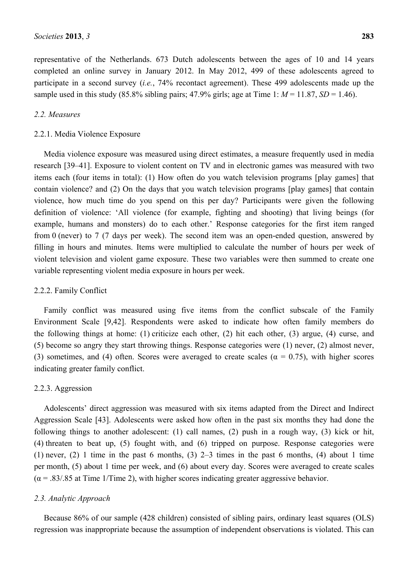representative of the Netherlands. 673 Dutch adolescents between the ages of 10 and 14 years completed an online survey in January 2012. In May 2012, 499 of these adolescents agreed to participate in a second survey (*i.e.*, 74% recontact agreement). These 499 adolescents made up the sample used in this study  $(85.8\%$  sibling pairs;  $47.9\%$  girls; age at Time 1:  $M = 11.87$ ,  $SD = 1.46$ ).

# *2.2. Measures*

## 2.2.1. Media Violence Exposure

Media violence exposure was measured using direct estimates, a measure frequently used in media research [39–41]. Exposure to violent content on TV and in electronic games was measured with two items each (four items in total): (1) How often do you watch television programs [play games] that contain violence? and (2) On the days that you watch television programs [play games] that contain violence, how much time do you spend on this per day? Participants were given the following definition of violence: 'All violence (for example, fighting and shooting) that living beings (for example, humans and monsters) do to each other.' Response categories for the first item ranged from 0 (never) to 7 (7 days per week). The second item was an open-ended question, answered by filling in hours and minutes. Items were multiplied to calculate the number of hours per week of violent television and violent game exposure. These two variables were then summed to create one variable representing violent media exposure in hours per week.

## 2.2.2. Family Conflict

Family conflict was measured using five items from the conflict subscale of the Family Environment Scale [9,42]. Respondents were asked to indicate how often family members do the following things at home: (1) criticize each other, (2) hit each other, (3) argue, (4) curse, and (5) become so angry they start throwing things. Response categories were (1) never, (2) almost never, (3) sometimes, and (4) often. Scores were averaged to create scales ( $\alpha = 0.75$ ), with higher scores indicating greater family conflict.

## 2.2.3. Aggression

Adolescents' direct aggression was measured with six items adapted from the Direct and Indirect Aggression Scale [43]. Adolescents were asked how often in the past six months they had done the following things to another adolescent: (1) call names, (2) push in a rough way, (3) kick or hit, (4) threaten to beat up, (5) fought with, and (6) tripped on purpose. Response categories were (1) never, (2) 1 time in the past 6 months, (3)  $2-3$  times in the past 6 months, (4) about 1 time per month, (5) about 1 time per week, and (6) about every day. Scores were averaged to create scales  $(\alpha = 0.83/0.85$  at Time 1/Time 2), with higher scores indicating greater aggressive behavior.

## *2.3. Analytic Approach*

Because 86% of our sample (428 children) consisted of sibling pairs, ordinary least squares (OLS) regression was inappropriate because the assumption of independent observations is violated. This can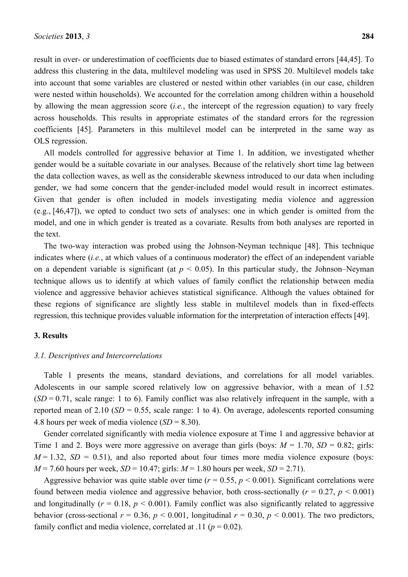result in over- or underestimation of coefficients due to biased estimates of standard errors [44,45]. To address this clustering in the data, multilevel modeling was used in SPSS 20. Multilevel models take into account that some variables are clustered or nested within other variables (in our case, children were nested within households). We accounted for the correlation among children within a household by allowing the mean aggression score (*i.e.*, the intercept of the regression equation) to vary freely across households. This results in appropriate estimates of the standard errors for the regression coefficients [45]. Parameters in this multilevel model can be interpreted in the same way as OLS regression.

All models controlled for aggressive behavior at Time 1. In addition, we investigated whether gender would be a suitable covariate in our analyses. Because of the relatively short time lag between the data collection waves, as well as the considerable skewness introduced to our data when including gender, we had some concern that the gender-included model would result in incorrect estimates. Given that gender is often included in models investigating media violence and aggression (e.g., [46,47]), we opted to conduct two sets of analyses: one in which gender is omitted from the model, and one in which gender is treated as a covariate. Results from both analyses are reported in the text.

The two-way interaction was probed using the Johnson-Neyman technique [48]. This technique indicates where (*i.e.*, at which values of a continuous moderator) the effect of an independent variable on a dependent variable is significant (at  $p < 0.05$ ). In this particular study, the Johnson–Neyman technique allows us to identify at which values of family conflict the relationship between media violence and aggressive behavior achieves statistical significance. Although the values obtained for these regions of significance are slightly less stable in multilevel models than in fixed-effects regression, this technique provides valuable information for the interpretation of interaction effects [49].

#### **3. Results**

#### *3.1. Descriptives and Intercorrelations*

Table 1 presents the means, standard deviations, and correlations for all model variables. Adolescents in our sample scored relatively low on aggressive behavior, with a mean of 1.52  $(SD = 0.71$ , scale range: 1 to 6). Family conflict was also relatively infrequent in the sample, with a reported mean of  $2.10$  (*SD* = 0.55, scale range: 1 to 4). On average, adolescents reported consuming 4.8 hours per week of media violence (*SD* = 8.30).

Gender correlated significantly with media violence exposure at Time 1 and aggressive behavior at Time 1 and 2. Boys were more aggressive on average than girls (boys:  $M = 1.70$ ,  $SD = 0.82$ ; girls:  $M = 1.32$ ,  $SD = 0.51$ ), and also reported about four times more media violence exposure (boys:  $M = 7.60$  hours per week,  $SD = 10.47$ ; girls:  $M = 1.80$  hours per week,  $SD = 2.71$ ).

Aggressive behavior was quite stable over time ( $r = 0.55$ ,  $p \le 0.001$ ). Significant correlations were found between media violence and aggressive behavior, both cross-sectionally ( $r = 0.27$ ,  $p < 0.001$ ) and longitudinally ( $r = 0.18$ ,  $p < 0.001$ ). Family conflict was also significantly related to aggressive behavior (cross-sectional  $r = 0.36$ ,  $p < 0.001$ , longitudinal  $r = 0.30$ ,  $p < 0.001$ ). The two predictors, family conflict and media violence, correlated at .11 ( $p = 0.02$ ).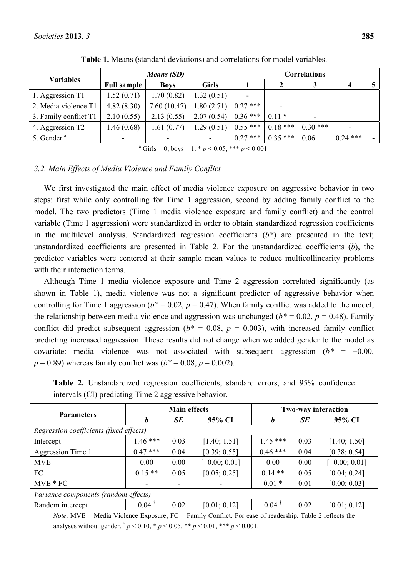| <b>Variables</b>       |                    | <b>Correlations</b>      |              |                          |           |           |            |  |
|------------------------|--------------------|--------------------------|--------------|--------------------------|-----------|-----------|------------|--|
|                        | <b>Full sample</b> | <b>Boys</b>              | <b>Girls</b> |                          | 2         |           | 4          |  |
| 1. Aggression T1       | 1.52(0.71)         | 1.70(0.82)               | 1.32(0.51)   | $\overline{\phantom{a}}$ |           |           |            |  |
| 2. Media violence T1   | 4.82(8.30)         | 7.60(10.47)              | .80(2.71)    | $0.27$ ***               |           |           |            |  |
| 3. Family conflict T1  | 2.10(0.55)         | 2.13(0.55)               | 2.07(0.54)   | $0.36***$                | $0.11*$   |           |            |  |
| 4. Aggression T2       | .46(0.68)          | 1.61(0.77)               | 1.29(0.51)   | $0.55***$                | $0.18***$ | $0.30***$ | ۰          |  |
| 5. Gender <sup>a</sup> |                    | $\overline{\phantom{0}}$ | ۰            | $0.27***$                | $0.35***$ | 0.06      | $0.24$ *** |  |

**Table 1.** Means (standard deviations) and correlations for model variables.

<sup>a</sup> Girls = 0; boys = 1.  $\ast p$  < 0.05,  $\ast \ast \ast p$  < 0.001.

# *3.2. Main Effects of Media Violence and Family Conflict*

We first investigated the main effect of media violence exposure on aggressive behavior in two steps: first while only controlling for Time 1 aggression, second by adding family conflict to the model. The two predictors (Time 1 media violence exposure and family conflict) and the control variable (Time 1 aggression) were standardized in order to obtain standardized regression coefficients in the multilevel analysis. Standardized regression coefficients (*b\**) are presented in the text; unstandardized coefficients are presented in Table 2. For the unstandardized coefficients (*b*), the predictor variables were centered at their sample mean values to reduce multicollinearity problems with their interaction terms.

Although Time 1 media violence exposure and Time 2 aggression correlated significantly (as shown in Table 1), media violence was not a significant predictor of aggressive behavior when controlling for Time 1 aggression  $(b^* = 0.02, p = 0.47)$ . When family conflict was added to the model, the relationship between media violence and aggression was unchanged  $(b^* = 0.02, p = 0.48)$ . Family conflict did predict subsequent aggression ( $b^* = 0.08$ ,  $p = 0.003$ ), with increased family conflict predicting increased aggression. These results did not change when we added gender to the model as covariate: media violence was not associated with subsequent aggression (*b\** = −0.00,  $p = 0.89$ ) whereas family conflict was ( $b^* = 0.08$ ,  $p = 0.002$ ).

|                                         |                     | <b>Main effects</b> | <b>Two-way interaction</b> |                     |      |                 |  |  |  |  |  |  |
|-----------------------------------------|---------------------|---------------------|----------------------------|---------------------|------|-----------------|--|--|--|--|--|--|
| <b>Parameters</b>                       | $\boldsymbol{b}$    | <b>SE</b><br>95% CI |                            | $\boldsymbol{b}$    | SE   | 95% CI          |  |  |  |  |  |  |
| Regression coefficients (fixed effects) |                     |                     |                            |                     |      |                 |  |  |  |  |  |  |
| Intercept                               | $1.46***$           | 0.03                | [1.40; 1.51]               | $1.45***$           | 0.03 | [1.40; 1.50]    |  |  |  |  |  |  |
| Aggression Time 1                       | $0.47***$           | 0.04                | [0.39; 0.55]               | $0.46***$           | 0.04 | [0.38; 0.54]    |  |  |  |  |  |  |
| <b>MVE</b>                              | 0.00                | 0.00                | $[-0.00; 0.01]$            | 0.00                | 0.00 | $[-0.00; 0.01]$ |  |  |  |  |  |  |
| FC                                      | $0.15**$            | 0.05                | [0.05; 0.25]               | $0.14**$            | 0.05 | [0.04; 0.24]    |  |  |  |  |  |  |
| $MVE*FC$                                |                     |                     |                            | $0.01*$             | 0.01 | [0.00; 0.03]    |  |  |  |  |  |  |
| Variance components (random effects)    |                     |                     |                            |                     |      |                 |  |  |  |  |  |  |
| Random intercept                        | $0.04$ <sup>†</sup> | 0.02                | [0.01; 0.12]               | $0.04$ <sup>†</sup> | 0.02 | [0.01; 0.12]    |  |  |  |  |  |  |

**Table 2.** Unstandardized regression coefficients, standard errors, and 95% confidence intervals (CI) predicting Time 2 aggressive behavior.

*Note*: MVE = Media Violence Exposure: FC = Family Conflict. For ease of readership. Table 2 reflects the analyses without gender.  $\frac{1}{p}$   $p$  < 0.10, \* *p* < 0.05, \*\* *p* < 0.01, \*\*\* *p* < 0.001.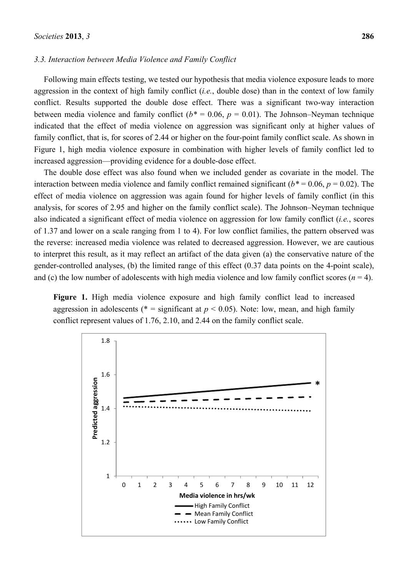#### *3.3. Interaction between Media Violence and Family Conflict*

Following main effects testing, we tested our hypothesis that media violence exposure leads to more aggression in the context of high family conflict (*i.e.*, double dose) than in the context of low family conflict. Results supported the double dose effect. There was a significant two-way interaction between media violence and family conflict ( $b^* = 0.06$ ,  $p = 0.01$ ). The Johnson–Neyman technique indicated that the effect of media violence on aggression was significant only at higher values of family conflict, that is, for scores of 2.44 or higher on the four-point family conflict scale. As shown in Figure 1, high media violence exposure in combination with higher levels of family conflict led to increased aggression—providing evidence for a double-dose effect.

The double dose effect was also found when we included gender as covariate in the model. The interaction between media violence and family conflict remained significant ( $b^*$  = 0.06,  $p$  = 0.02). The effect of media violence on aggression was again found for higher levels of family conflict (in this analysis, for scores of 2.95 and higher on the family conflict scale). The Johnson–Neyman technique also indicated a significant effect of media violence on aggression for low family conflict (*i.e.*, scores of 1.37 and lower on a scale ranging from 1 to 4). For low conflict families, the pattern observed was the reverse: increased media violence was related to decreased aggression. However, we are cautious to interpret this result, as it may reflect an artifact of the data given (a) the conservative nature of the gender-controlled analyses, (b) the limited range of this effect (0.37 data points on the 4-point scale), and (c) the low number of adolescents with high media violence and low family conflict scores  $(n = 4)$ .

**Figure 1.** High media violence exposure and high family conflict lead to increased aggression in adolescents ( $* =$  significant at  $p < 0.05$ ). Note: low, mean, and high family conflict represent values of 1.76, 2.10, and 2.44 on the family conflict scale.

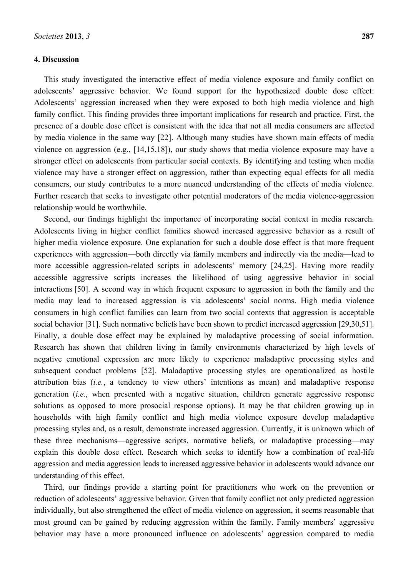## **4. Discussion**

This study investigated the interactive effect of media violence exposure and family conflict on adolescents' aggressive behavior. We found support for the hypothesized double dose effect: Adolescents' aggression increased when they were exposed to both high media violence and high family conflict. This finding provides three important implications for research and practice. First, the presence of a double dose effect is consistent with the idea that not all media consumers are affected by media violence in the same way [22]. Although many studies have shown main effects of media violence on aggression (e.g., [14,15,18]), our study shows that media violence exposure may have a stronger effect on adolescents from particular social contexts. By identifying and testing when media violence may have a stronger effect on aggression, rather than expecting equal effects for all media consumers, our study contributes to a more nuanced understanding of the effects of media violence. Further research that seeks to investigate other potential moderators of the media violence-aggression relationship would be worthwhile.

Second, our findings highlight the importance of incorporating social context in media research. Adolescents living in higher conflict families showed increased aggressive behavior as a result of higher media violence exposure. One explanation for such a double dose effect is that more frequent experiences with aggression—both directly via family members and indirectly via the media—lead to more accessible aggression-related scripts in adolescents' memory [24,25]. Having more readily accessible aggressive scripts increases the likelihood of using aggressive behavior in social interactions [50]. A second way in which frequent exposure to aggression in both the family and the media may lead to increased aggression is via adolescents' social norms. High media violence consumers in high conflict families can learn from two social contexts that aggression is acceptable social behavior [31]. Such normative beliefs have been shown to predict increased aggression [29,30,51]. Finally, a double dose effect may be explained by maladaptive processing of social information. Research has shown that children living in family environments characterized by high levels of negative emotional expression are more likely to experience maladaptive processing styles and subsequent conduct problems [52]. Maladaptive processing styles are operationalized as hostile attribution bias (*i.e.*, a tendency to view others' intentions as mean) and maladaptive response generation (*i.e.*, when presented with a negative situation, children generate aggressive response solutions as opposed to more prosocial response options). It may be that children growing up in households with high family conflict and high media violence exposure develop maladaptive processing styles and, as a result, demonstrate increased aggression. Currently, it is unknown which of these three mechanisms—aggressive scripts, normative beliefs, or maladaptive processing—may explain this double dose effect. Research which seeks to identify how a combination of real-life aggression and media aggression leads to increased aggressive behavior in adolescents would advance our understanding of this effect.

Third, our findings provide a starting point for practitioners who work on the prevention or reduction of adolescents' aggressive behavior. Given that family conflict not only predicted aggression individually, but also strengthened the effect of media violence on aggression, it seems reasonable that most ground can be gained by reducing aggression within the family. Family members' aggressive behavior may have a more pronounced influence on adolescents' aggression compared to media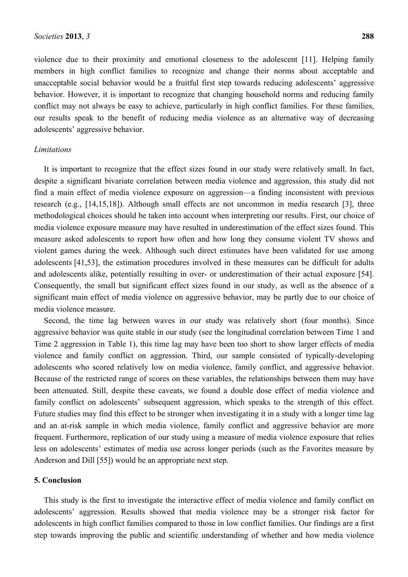violence due to their proximity and emotional closeness to the adolescent [11]. Helping family members in high conflict families to recognize and change their norms about acceptable and unacceptable social behavior would be a fruitful first step towards reducing adolescents' aggressive behavior. However, it is important to recognize that changing household norms and reducing family conflict may not always be easy to achieve, particularly in high conflict families. For these families, our results speak to the benefit of reducing media violence as an alternative way of decreasing adolescents' aggressive behavior.

## *Limitations*

It is important to recognize that the effect sizes found in our study were relatively small. In fact, despite a significant bivariate correlation between media violence and aggression, this study did not find a main effect of media violence exposure on aggression—a finding inconsistent with previous research (e.g., [14,15,18]). Although small effects are not uncommon in media research [3], three methodological choices should be taken into account when interpreting our results. First, our choice of media violence exposure measure may have resulted in underestimation of the effect sizes found. This measure asked adolescents to report how often and how long they consume violent TV shows and violent games during the week. Although such direct estimates have been validated for use among adolescents [41,53], the estimation procedures involved in these measures can be difficult for adults and adolescents alike, potentially resulting in over- or underestimation of their actual exposure [54]. Consequently, the small but significant effect sizes found in our study, as well as the absence of a significant main effect of media violence on aggressive behavior, may be partly due to our choice of media violence measure.

Second, the time lag between waves in our study was relatively short (four months). Since aggressive behavior was quite stable in our study (see the longitudinal correlation between Time 1 and Time 2 aggression in Table 1), this time lag may have been too short to show larger effects of media violence and family conflict on aggression. Third, our sample consisted of typically-developing adolescents who scored relatively low on media violence, family conflict, and aggressive behavior. Because of the restricted range of scores on these variables, the relationships between them may have been attenuated. Still, despite these caveats, we found a double dose effect of media violence and family conflict on adolescents' subsequent aggression, which speaks to the strength of this effect. Future studies may find this effect to be stronger when investigating it in a study with a longer time lag and an at-risk sample in which media violence, family conflict and aggressive behavior are more frequent. Furthermore, replication of our study using a measure of media violence exposure that relies less on adolescents' estimates of media use across longer periods (such as the Favorites measure by Anderson and Dill [55]) would be an appropriate next step.

# **5. Conclusion**

This study is the first to investigate the interactive effect of media violence and family conflict on adolescents' aggression. Results showed that media violence may be a stronger risk factor for adolescents in high conflict families compared to those in low conflict families. Our findings are a first step towards improving the public and scientific understanding of whether and how media violence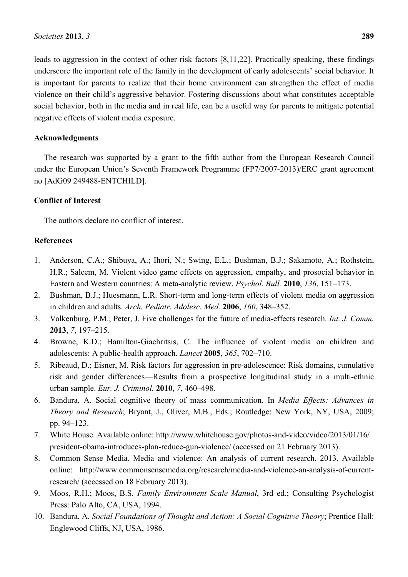leads to aggression in the context of other risk factors [8,11,22]. Practically speaking, these findings underscore the important role of the family in the development of early adolescents' social behavior. It is important for parents to realize that their home environment can strengthen the effect of media violence on their child's aggressive behavior. Fostering discussions about what constitutes acceptable social behavior, both in the media and in real life, can be a useful way for parents to mitigate potential negative effects of violent media exposure.

# **Acknowledgments**

The research was supported by a grant to the fifth author from the European Research Council under the European Union's Seventh Framework Programme (FP7/2007-2013)/ERC grant agreement no [AdG09 249488-ENTCHILD].

# **Conflict of Interest**

The authors declare no conflict of interest.

# **References**

- 1. Anderson, C.A.; Shibuya, A.; Ihori, N.; Swing, E.L.; Bushman, B.J.; Sakamoto, A.; Rothstein, H.R.; Saleem, M. Violent video game effects on aggression, empathy, and prosocial behavior in Eastern and Western countries: A meta-analytic review. *Psychol. Bull.* **2010**, *136*, 151–173.
- 2. Bushman, B.J.; Huesmann, L.R. Short-term and long-term effects of violent media on aggression in children and adults. *Arch. Pediatr. Adolesc. Med.* **2006**, *160*, 348–352.
- 3. Valkenburg, P.M.; Peter, J. Five challenges for the future of media-effects research. *Int. J. Comm.*  **2013**, *7*, 197–215.
- 4. Browne, K.D.; Hamilton-Giachritsis, C. The influence of violent media on children and adolescents: A public-health approach. *Lancet* **2005**, *365*, 702–710.
- 5. Ribeaud, D.; Eisner, M. Risk factors for aggression in pre-adolescence: Risk domains, cumulative risk and gender differences—Results from a prospective longitudinal study in a multi-ethnic urban sample. *Eur. J. Criminol.* **2010**, *7*, 460–498.
- 6. Bandura, A. Social cognitive theory of mass communication. In *Media Effects: Advances in Theory and Research*; Bryant, J., Oliver, M.B., Eds.; Routledge: New York, NY, USA, 2009; pp. 94–123.
- 7. White House. Available online: http://www.whitehouse.gov/photos-and-video/video/2013/01/16/ president-obama-introduces-plan-reduce-gun-violence/ (accessed on 21 February 2013).
- 8. Common Sense Media. Media and violence: An analysis of current research. 2013. Available online: http://www.commonsensemedia.org/research/media-and-violence-an-analysis-of-currentresearch/ (accessed on 18 February 2013).
- 9. Moos, R.H.; Moos, B.S. *Family Environment Scale Manual*, 3rd ed.; Consulting Psychologist Press: Palo Alto, CA, USA, 1994.
- 10. Bandura, A. *Social Foundations of Thought and Action: A Social Cognitive Theory*; Prentice Hall: Englewood Cliffs, NJ, USA, 1986.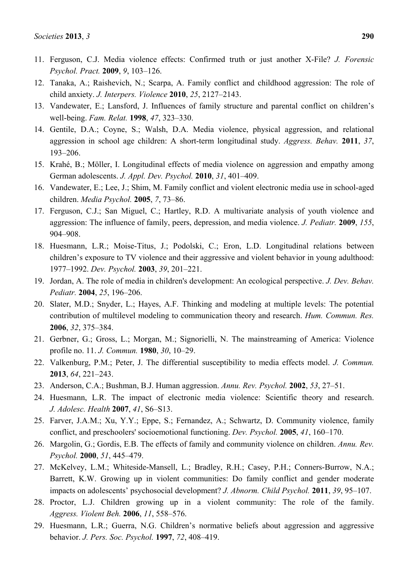- 12. Tanaka, A.; Raishevich, N.; Scarpa, A. Family conflict and childhood aggression: The role of child anxiety. *J. Interpers. Violence* **2010**, *25*, 2127–2143.
- 13. Vandewater, E.; Lansford, J. Influences of family structure and parental conflict on children's well-being. *Fam. Relat.* **1998**, *47*, 323–330.
- 14. Gentile, D.A.; Coyne, S.; Walsh, D.A. Media violence, physical aggression, and relational aggression in school age children: A short-term longitudinal study. *Aggress. Behav.* **2011**, *37*, 193–206.
- 15. Krahé, B.; Möller, I. Longitudinal effects of media violence on aggression and empathy among German adolescents. *J. Appl. Dev. Psychol.* **2010**, *31*, 401–409.
- 16. Vandewater, E.; Lee, J.; Shim, M. Family conflict and violent electronic media use in school-aged children. *Media Psychol.* **2005**, *7*, 73–86.
- 17. Ferguson, C.J.; San Miguel, C.; Hartley, R.D. A multivariate analysis of youth violence and aggression: The influence of family, peers, depression, and media violence. *J. Pediatr.* **2009**, *155*, 904–908.
- 18. Huesmann, L.R.; Moise-Titus, J.; Podolski, C.; Eron, L.D. Longitudinal relations between children's exposure to TV violence and their aggressive and violent behavior in young adulthood: 1977–1992. *Dev. Psychol.* **2003**, *39*, 201–221.
- 19. Jordan, A. The role of media in children's development: An ecological perspective. *J. Dev. Behav. Pediatr.* **2004**, *25*, 196–206.
- 20. Slater, M.D.; Snyder, L.; Hayes, A.F. Thinking and modeling at multiple levels: The potential contribution of multilevel modeling to communication theory and research. *Hum. Commun. Res.*  **2006**, *32*, 375–384.
- 21. Gerbner, G.; Gross, L.; Morgan, M.; Signorielli, N. The mainstreaming of America: Violence profile no. 11. *J. Commun.* **1980**, *30*, 10–29.
- 22. Valkenburg, P.M.; Peter, J. The differential susceptibility to media effects model. *J. Commun.*  **2013**, *64*, 221–243.
- 23. Anderson, C.A.; Bushman, B.J. Human aggression. *Annu. Rev. Psychol.* **2002**, *53*, 27–51.
- 24. Huesmann, L.R. The impact of electronic media violence: Scientific theory and research. *J. Adolesc. Health* **2007**, *41*, S6–S13.
- 25. Farver, J.A.M.; Xu, Y.Y.; Eppe, S.; Fernandez, A.; Schwartz, D. Community violence, family conflict, and preschoolers' socioemotional functioning. *Dev. Psychol.* **2005**, *41*, 160–170.
- 26. Margolin, G.; Gordis, E.B. The effects of family and community violence on children. *Annu. Rev. Psychol.* **2000**, *51*, 445–479.
- 27. McKelvey, L.M.; Whiteside-Mansell, L.; Bradley, R.H.; Casey, P.H.; Conners-Burrow, N.A.; Barrett, K.W. Growing up in violent communities: Do family conflict and gender moderate impacts on adolescents' psychosocial development? *J. Abnorm. Child Psychol.* **2011**, *39*, 95–107.
- 28. Proctor, L.J. Children growing up in a violent community: The role of the family. *Aggress. Violent Beh.* **2006**, *11*, 558–576.
- 29. Huesmann, L.R.; Guerra, N.G. Children's normative beliefs about aggression and aggressive behavior. *J. Pers. Soc. Psychol.* **1997**, *72*, 408–419.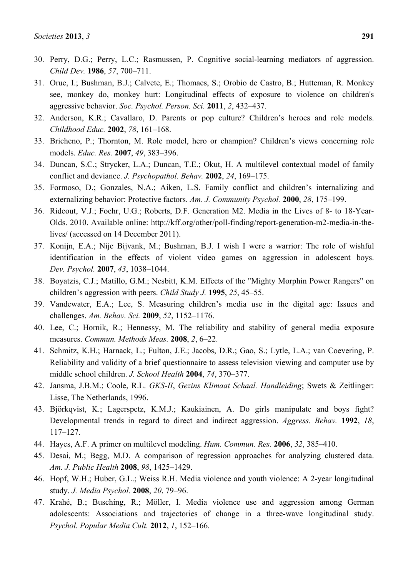- 30. Perry, D.G.; Perry, L.C.; Rasmussen, P. Cognitive social-learning mediators of aggression. *Child Dev.* **1986**, *57*, 700–711.
- 31. Orue, I.; Bushman, B.J.; Calvete, E.; Thomaes, S.; Orobio de Castro, B.; Hutteman, R. Monkey see, monkey do, monkey hurt: Longitudinal effects of exposure to violence on children's aggressive behavior. *Soc. Psychol. Person. Sci.* **2011**, *2*, 432–437.
- 32. Anderson, K.R.; Cavallaro, D. Parents or pop culture? Children's heroes and role models. *Childhood Educ.* **2002**, *78*, 161–168.
- 33. Bricheno, P.; Thornton, M. Role model, hero or champion? Children's views concerning role models. *Educ. Res.* **2007**, *49*, 383–396.
- 34. Duncan, S.C.; Strycker, L.A.; Duncan, T.E.; Okut, H. A multilevel contextual model of family conflict and deviance. *J. Psychopathol. Behav.* **2002**, *24*, 169–175.
- 35. Formoso, D.; Gonzales, N.A.; Aiken, L.S. Family conflict and children's internalizing and externalizing behavior: Protective factors. *Am. J. Community Psychol.* **2000**, *28*, 175–199.
- 36. Rideout, V.J.; Foehr, U.G.; Roberts, D.F. Generation M2. Media in the Lives of 8- to 18-Year-Olds. 2010. Available online: http://kff.org/other/poll-finding/report-generation-m2-media-in-thelives/ (accessed on 14 December 2011).
- 37. Konijn, E.A.; Nije Bijvank, M.; Bushman, B.J. I wish I were a warrior: The role of wishful identification in the effects of violent video games on aggression in adolescent boys. *Dev. Psychol.* **2007**, *43*, 1038–1044.
- 38. Boyatzis, C.J.; Matillo, G.M.; Nesbitt, K.M. Effects of the "Mighty Morphin Power Rangers" on children's aggression with peers. *Child Study J.* **1995**, *25*, 45–55.
- 39. Vandewater, E.A.; Lee, S. Measuring children's media use in the digital age: Issues and challenges. *Am. Behav. Sci.* **2009**, *52*, 1152–1176.
- 40. Lee, C.; Hornik, R.; Hennessy, M. The reliability and stability of general media exposure measures. *Commun. Methods Meas.* **2008**, *2*, 6–22.
- 41. Schmitz, K.H.; Harnack, L.; Fulton, J.E.; Jacobs, D.R.; Gao, S.; Lytle, L.A.; van Coevering, P. Reliability and validity of a brief questionnaire to assess television viewing and computer use by middle school children. *J. School Health* **2004**, *74*, 370–377.
- 42. Jansma, J.B.M.; Coole, R.L. *GKS-II*, *Gezins Klimaat Schaal. Handleiding*; Swets & Zeitlinger: Lisse, The Netherlands, 1996.
- 43. Björkqvist, K.; Lagerspetz, K.M.J.; Kaukiainen, A. Do girls manipulate and boys fight? Developmental trends in regard to direct and indirect aggression. *Aggress. Behav.* **1992**, *18*, 117–127.
- 44. Hayes, A.F. A primer on multilevel modeling. *Hum. Commun. Res.* **2006**, *32*, 385–410.
- 45. Desai, M.; Begg, M.D. A comparison of regression approaches for analyzing clustered data. *Am. J. Public Health* **2008**, *98*, 1425–1429.
- 46. Hopf, W.H.; Huber, G.L.; Weiss R.H. Media violence and youth violence: A 2-year longitudinal study. *J. Media Psychol.* **2008**, *20*, 79–96.
- 47. Krahé, B.; Busching, R.; Möller, I. Media violence use and aggression among German adolescents: Associations and trajectories of change in a three-wave longitudinal study. *Psychol. Popular Media Cult.* **2012**, *1*, 152–166.